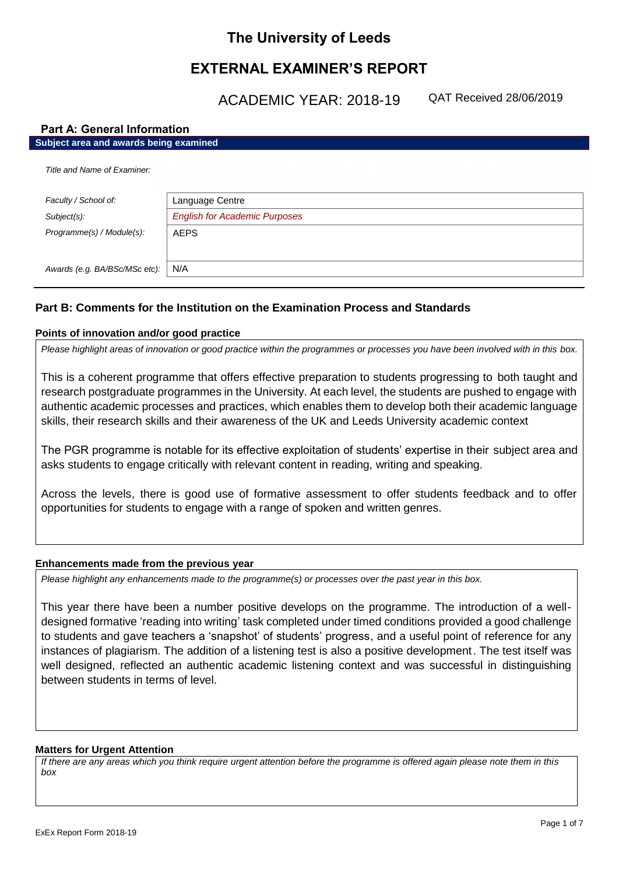# **The University of Leeds**

# **EXTERNAL EXAMINER'S REPORT**

ACADEMIC YEAR: 2018-19 QAT Received 28/06/2019

# **Part A: General Information**

| Subject area and awards being examined |                                      |  |
|----------------------------------------|--------------------------------------|--|
| Title and Name of Examiner:            |                                      |  |
| Faculty / School of:                   | Language Centre                      |  |
| Subject(s):                            | <b>English for Academic Purposes</b> |  |
| Programme(s) / Module(s):              | <b>AEPS</b>                          |  |
|                                        |                                      |  |
| Awards (e.g. BA/BSc/MSc etc):          | N/A                                  |  |

# **Part B: Comments for the Institution on the Examination Process and Standards**

## **Points of innovation and/or good practice**

*Please highlight areas of innovation or good practice within the programmes or processes you have been involved with in this box.*

This is a coherent programme that offers effective preparation to students progressing to both taught and research postgraduate programmes in the University. At each level, the students are pushed to engage with authentic academic processes and practices, which enables them to develop both their academic language skills, their research skills and their awareness of the UK and Leeds University academic context

The PGR programme is notable for its effective exploitation of students' expertise in their subject area and asks students to engage critically with relevant content in reading, writing and speaking.

Across the levels, there is good use of formative assessment to offer students feedback and to offer opportunities for students to engage with a range of spoken and written genres.

# **Enhancements made from the previous year**

*Please highlight any enhancements made to the programme(s) or processes over the past year in this box.*

This year there have been a number positive develops on the programme. The introduction of a welldesigned formative 'reading into writing' task completed under timed conditions provided a good challenge to students and gave teachers a 'snapshot' of students' progress, and a useful point of reference for any instances of plagiarism. The addition of a listening test is also a positive development. The test itself was well designed, reflected an authentic academic listening context and was successful in distinguishing between students in terms of level.

### **Matters for Urgent Attention**

*If there are any areas which you think require urgent attention before the programme is offered again please note them in this box*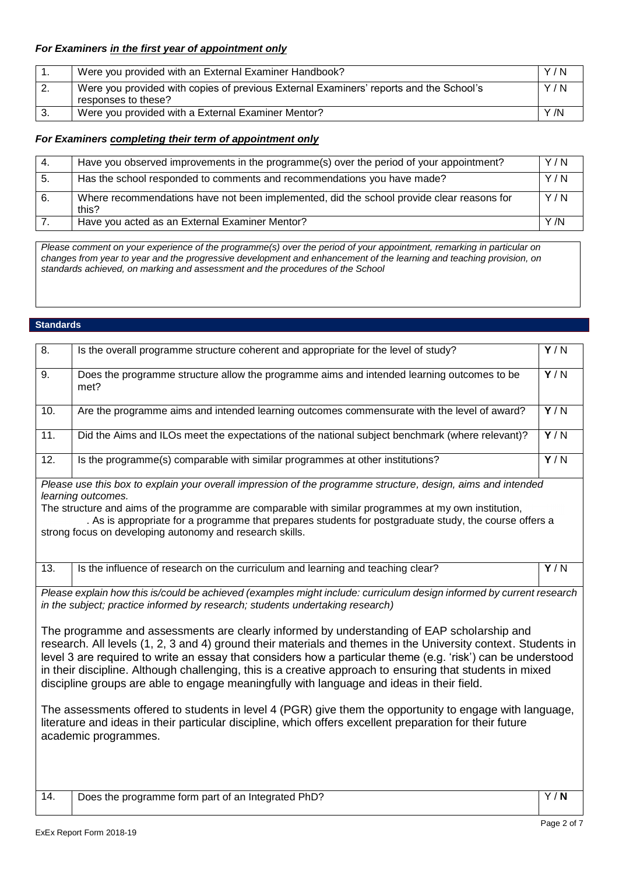# *For Examiners in the first year of appointment only*

|    | Were you provided with an External Examiner Handbook?                                                         | Y/N |
|----|---------------------------------------------------------------------------------------------------------------|-----|
| z. | Were you provided with copies of previous External Examiners' reports and the School's<br>responses to these? | Y/N |
|    | Were you provided with a External Examiner Mentor?                                                            | Y/N |

# *For Examiners completing their term of appointment only*

| -4. | Have you observed improvements in the programme(s) over the period of your appointment?            | Y/N  |
|-----|----------------------------------------------------------------------------------------------------|------|
| 5.  | Has the school responded to comments and recommendations you have made?                            | Y/N  |
| -6. | Where recommendations have not been implemented, did the school provide clear reasons for<br>this? | Y/N  |
|     | Have you acted as an External Examiner Mentor?                                                     | Y /N |

*Please comment on your experience of the programme(s) over the period of your appointment, remarking in particular on changes from year to year and the progressive development and enhancement of the learning and teaching provision, on standards achieved, on marking and assessment and the procedures of the School*

### **Standards**

| 8.                                                                                                                                                                                                                                                                                                                                                                                                                                                                                                                                                                                                                                                                                                                                                                                   | Is the overall programme structure coherent and appropriate for the level of study?                | Y/N              |  |
|--------------------------------------------------------------------------------------------------------------------------------------------------------------------------------------------------------------------------------------------------------------------------------------------------------------------------------------------------------------------------------------------------------------------------------------------------------------------------------------------------------------------------------------------------------------------------------------------------------------------------------------------------------------------------------------------------------------------------------------------------------------------------------------|----------------------------------------------------------------------------------------------------|------------------|--|
| 9.                                                                                                                                                                                                                                                                                                                                                                                                                                                                                                                                                                                                                                                                                                                                                                                   | Does the programme structure allow the programme aims and intended learning outcomes to be<br>met? | Y/N              |  |
| 10.                                                                                                                                                                                                                                                                                                                                                                                                                                                                                                                                                                                                                                                                                                                                                                                  | Are the programme aims and intended learning outcomes commensurate with the level of award?        | Y/N              |  |
| 11.                                                                                                                                                                                                                                                                                                                                                                                                                                                                                                                                                                                                                                                                                                                                                                                  | Did the Aims and ILOs meet the expectations of the national subject benchmark (where relevant)?    | $\overline{Y/N}$ |  |
| 12.                                                                                                                                                                                                                                                                                                                                                                                                                                                                                                                                                                                                                                                                                                                                                                                  | Is the programme(s) comparable with similar programmes at other institutions?                      | $\overline{Y/N}$ |  |
| Please use this box to explain your overall impression of the programme structure, design, aims and intended<br>learning outcomes.<br>The structure and aims of the programme are comparable with similar programmes at my own institution,<br>. As is appropriate for a programme that prepares students for postgraduate study, the course offers a<br>strong focus on developing autonomy and research skills.                                                                                                                                                                                                                                                                                                                                                                    |                                                                                                    |                  |  |
| 13.                                                                                                                                                                                                                                                                                                                                                                                                                                                                                                                                                                                                                                                                                                                                                                                  | Is the influence of research on the curriculum and learning and teaching clear?                    | Y/N              |  |
| Please explain how this is/could be achieved (examples might include: curriculum design informed by current research<br>in the subject; practice informed by research; students undertaking research)                                                                                                                                                                                                                                                                                                                                                                                                                                                                                                                                                                                |                                                                                                    |                  |  |
| The programme and assessments are clearly informed by understanding of EAP scholarship and<br>research. All levels (1, 2, 3 and 4) ground their materials and themes in the University context. Students in<br>level 3 are required to write an essay that considers how a particular theme (e.g. 'risk') can be understood<br>in their discipline. Although challenging, this is a creative approach to ensuring that students in mixed<br>discipline groups are able to engage meaningfully with language and ideas in their field.<br>The assessments offered to students in level 4 (PGR) give them the opportunity to engage with language,<br>literature and ideas in their particular discipline, which offers excellent preparation for their future<br>academic programmes. |                                                                                                    |                  |  |
| 14.                                                                                                                                                                                                                                                                                                                                                                                                                                                                                                                                                                                                                                                                                                                                                                                  | Does the programme form part of an Integrated PhD?                                                 | Y/N              |  |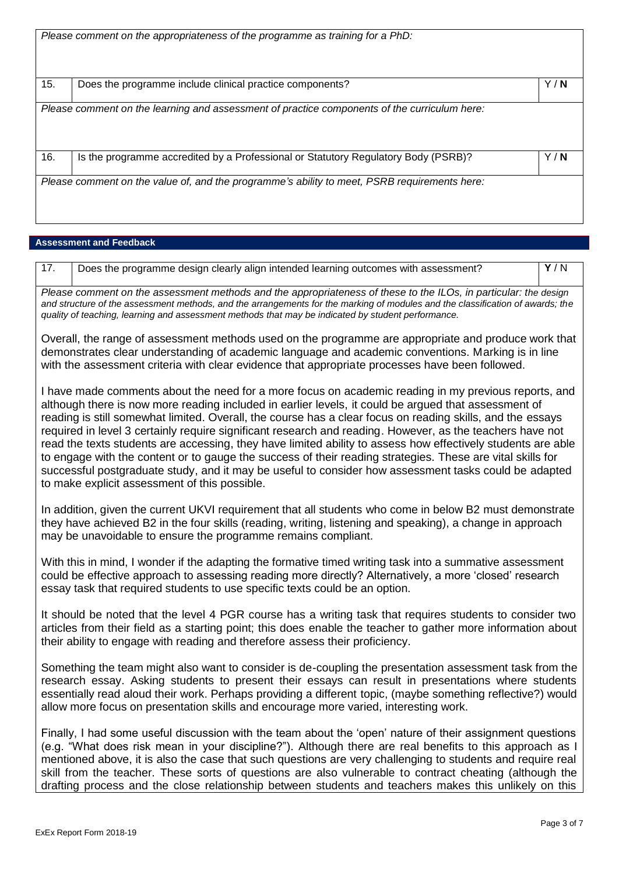|     | Please comment on the appropriateness of the programme as training for a PhD:                |     |
|-----|----------------------------------------------------------------------------------------------|-----|
| 15. | Does the programme include clinical practice components?                                     | Y/N |
|     | Please comment on the learning and assessment of practice components of the curriculum here: |     |
| 16. | Is the programme accredited by a Professional or Statutory Regulatory Body (PSRB)?           | Y/N |
|     | Please comment on the value of, and the programme's ability to meet, PSRB requirements here: |     |

### **Assessment and Feedback**

|  | Does the programme design clearly align intended learning outcomes with assessment? | Y/N |
|--|-------------------------------------------------------------------------------------|-----|
|--|-------------------------------------------------------------------------------------|-----|

*Please comment on the assessment methods and the appropriateness of these to the ILOs, in particular: the design and structure of the assessment methods, and the arrangements for the marking of modules and the classification of awards; the quality of teaching, learning and assessment methods that may be indicated by student performance.*

Overall, the range of assessment methods used on the programme are appropriate and produce work that demonstrates clear understanding of academic language and academic conventions. Marking is in line with the assessment criteria with clear evidence that appropriate processes have been followed.

I have made comments about the need for a more focus on academic reading in my previous reports, and although there is now more reading included in earlier levels, it could be argued that assessment of reading is still somewhat limited. Overall, the course has a clear focus on reading skills, and the essays required in level 3 certainly require significant research and reading. However, as the teachers have not read the texts students are accessing, they have limited ability to assess how effectively students are able to engage with the content or to gauge the success of their reading strategies. These are vital skills for successful postgraduate study, and it may be useful to consider how assessment tasks could be adapted to make explicit assessment of this possible.

In addition, given the current UKVI requirement that all students who come in below B2 must demonstrate they have achieved B2 in the four skills (reading, writing, listening and speaking), a change in approach may be unavoidable to ensure the programme remains compliant.

With this in mind, I wonder if the adapting the formative timed writing task into a summative assessment could be effective approach to assessing reading more directly? Alternatively, a more 'closed' research essay task that required students to use specific texts could be an option.

It should be noted that the level 4 PGR course has a writing task that requires students to consider two articles from their field as a starting point; this does enable the teacher to gather more information about their ability to engage with reading and therefore assess their proficiency.

Something the team might also want to consider is de-coupling the presentation assessment task from the research essay. Asking students to present their essays can result in presentations where students essentially read aloud their work. Perhaps providing a different topic, (maybe something reflective?) would allow more focus on presentation skills and encourage more varied, interesting work.

Finally, I had some useful discussion with the team about the 'open' nature of their assignment questions (e.g. "What does risk mean in your discipline?"). Although there are real benefits to this approach as I mentioned above, it is also the case that such questions are very challenging to students and require real skill from the teacher. These sorts of questions are also vulnerable to contract cheating (although the drafting process and the close relationship between students and teachers makes this unlikely on this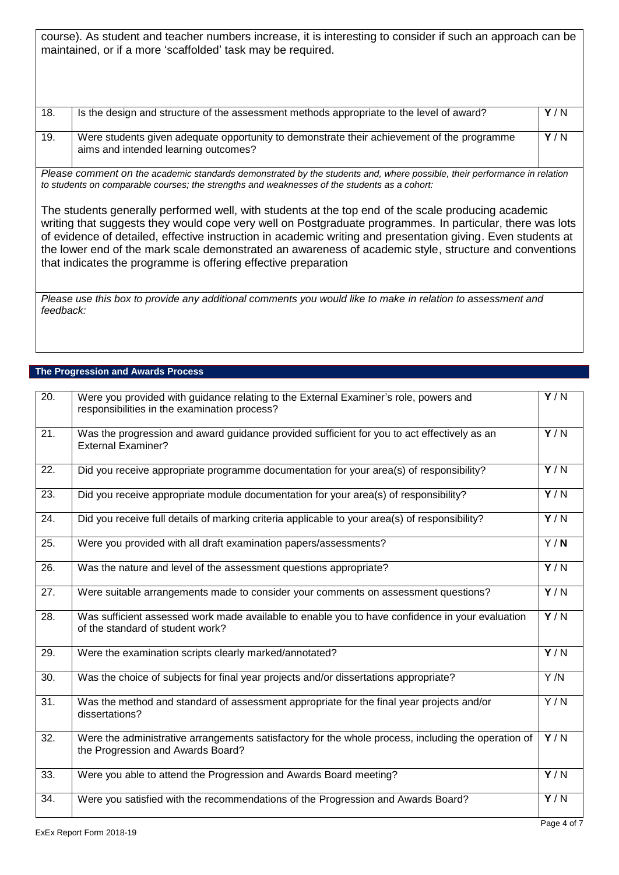course). As student and teacher numbers increase, it is interesting to consider if such an approach can be maintained, or if a more 'scaffolded' task may be required.

| 18. | Is the design and structure of the assessment methods appropriate to the level of award?                                           | Y/N |
|-----|------------------------------------------------------------------------------------------------------------------------------------|-----|
| 19. | Were students given adequate opportunity to demonstrate their achievement of the programme<br>aims and intended learning outcomes? | Y/N |

*Please comment on the academic standards demonstrated by the students and, where possible, their performance in relation to students on comparable courses; the strengths and weaknesses of the students as a cohort:*

The students generally performed well, with students at the top end of the scale producing academic writing that suggests they would cope very well on Postgraduate programmes. In particular, there was lots of evidence of detailed, effective instruction in academic writing and presentation giving. Even students at the lower end of the mark scale demonstrated an awareness of academic style, structure and conventions that indicates the programme is offering effective preparation

*Please use this box to provide any additional comments you would like to make in relation to assessment and feedback:*

## **The Progression and Awards Process**

| $\overline{20}$ . | Were you provided with guidance relating to the External Examiner's role, powers and<br>responsibilities in the examination process?     | Y/N              |
|-------------------|------------------------------------------------------------------------------------------------------------------------------------------|------------------|
| 21.               | Was the progression and award guidance provided sufficient for you to act effectively as an<br><b>External Examiner?</b>                 | Y/N              |
| 22.               | Did you receive appropriate programme documentation for your area(s) of responsibility?                                                  | Y/N              |
| 23.               | Did you receive appropriate module documentation for your area(s) of responsibility?                                                     | Y/N              |
| 24.               | Did you receive full details of marking criteria applicable to your area(s) of responsibility?                                           | Y/N              |
| 25.               | Were you provided with all draft examination papers/assessments?                                                                         | Y/N              |
| 26.               | Was the nature and level of the assessment questions appropriate?                                                                        | Y/N              |
| 27.               | Were suitable arrangements made to consider your comments on assessment questions?                                                       | $\sqrt{N}$       |
| 28.               | Was sufficient assessed work made available to enable you to have confidence in your evaluation<br>of the standard of student work?      | $\overline{Y/N}$ |
| 29.               | Were the examination scripts clearly marked/annotated?                                                                                   | Y/N              |
| $\overline{30}$ . | Was the choice of subjects for final year projects and/or dissertations appropriate?                                                     | Y/N              |
| 31.               | Was the method and standard of assessment appropriate for the final year projects and/or<br>dissertations?                               | $\overline{Y/N}$ |
| 32.               | Were the administrative arrangements satisfactory for the whole process, including the operation of<br>the Progression and Awards Board? | Y/N              |
| 33.               | Were you able to attend the Progression and Awards Board meeting?                                                                        | Y/N              |
| 34.               | Were you satisfied with the recommendations of the Progression and Awards Board?                                                         | Y/N              |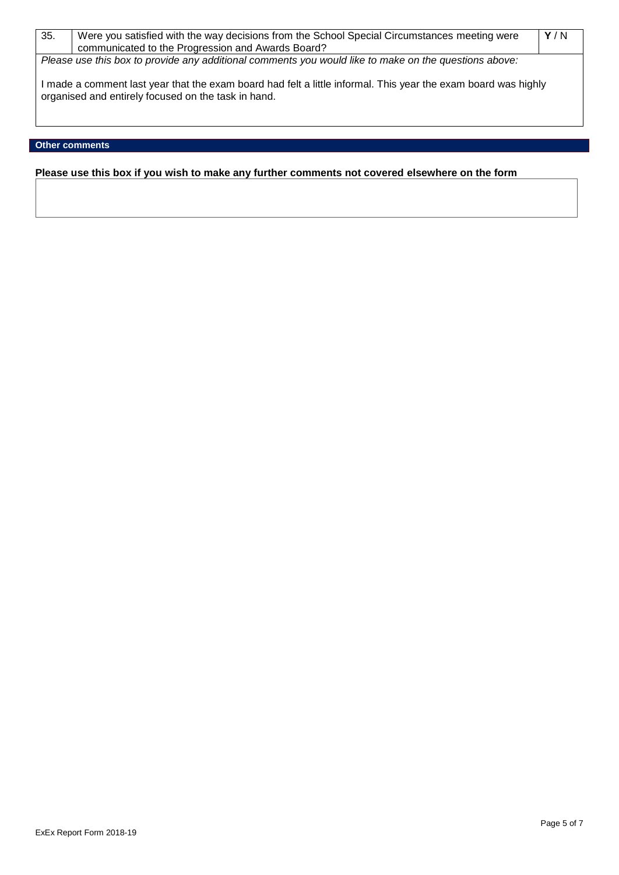| 35. | Were you satisfied with the way decisions from the School Special Circumstances meeting were<br>communicated to the Progression and Awards Board?                   | Y/N |
|-----|---------------------------------------------------------------------------------------------------------------------------------------------------------------------|-----|
|     |                                                                                                                                                                     |     |
|     | Please use this box to provide any additional comments you would like to make on the questions above:                                                               |     |
|     | made a comment last year that the exam board had felt a little informal. This year the exam board was highly<br>organised and entirely focused on the task in hand. |     |

# **Other comments**

**Please use this box if you wish to make any further comments not covered elsewhere on the form**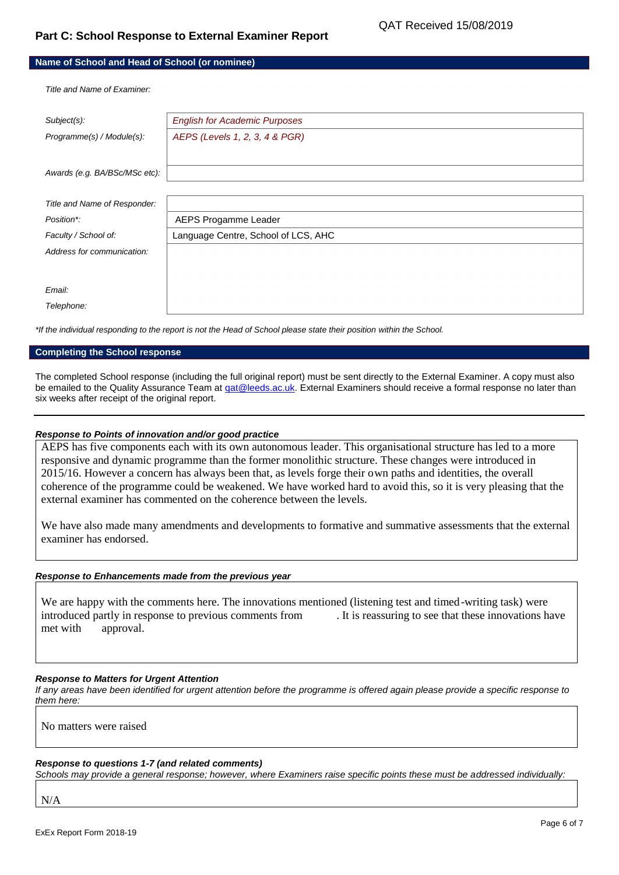# **Part C: School Response to External Examiner Report**

| Name of School and Head of School (or nominee) |                                      |  |
|------------------------------------------------|--------------------------------------|--|
| Title and Name of Examiner.                    |                                      |  |
| Subject(s):                                    | <b>English for Academic Purposes</b> |  |
| Programme(s) / Module(s):                      | AEPS (Levels 1, 2, 3, 4 & PGR)       |  |
|                                                |                                      |  |
| Awards (e.g. BA/BSc/MSc etc):                  |                                      |  |
|                                                |                                      |  |
| Title and Name of Responder:                   |                                      |  |
| Position*:                                     | AEPS Progamme Leader                 |  |
| Faculty / School of:                           | Language Centre, School of LCS, AHC  |  |
| Address for communication:                     |                                      |  |
|                                                |                                      |  |
| Email:                                         |                                      |  |
| Telephone:                                     |                                      |  |

*\*If the individual responding to the report is not the Head of School please state their position within the School.*

# **Completing the School response**

The completed School response (including the full original report) must be sent directly to the External Examiner. A copy must also be emailed to the Quality Assurance Team at gat@leeds.ac.uk. External Examiners should receive a formal response no later than six weeks after receipt of the original report.

### *Response to Points of innovation and/or good practice*

AEPS has five components each with its own autonomous leader. This organisational structure has led to a more responsive and dynamic programme than the former monolithic structure. These changes were introduced in 2015/16. However a concern has always been that, as levels forge their own paths and identities, the overall coherence of the programme could be weakened. We have worked hard to avoid this, so it is very pleasing that the external examiner has commented on the coherence between the levels.

We have also made many amendments and developments to formative and summative assessments that the external examiner has endorsed.

### *Response to Enhancements made from the previous year*

We are happy with the comments here. The innovations mentioned (listening test and timed-writing task) were introduced partly in response to previous comments from . It is reassuring to see that these innovations have met with approval.

### *Response to Matters for Urgent Attention*

*If any areas have been identified for urgent attention before the programme is offered again please provide a specific response to them here:*

No matters were raised

### *Response to questions 1-7 (and related comments)*

*Schools may provide a general response; however, where Examiners raise specific points these must be addressed individually:*

N/A